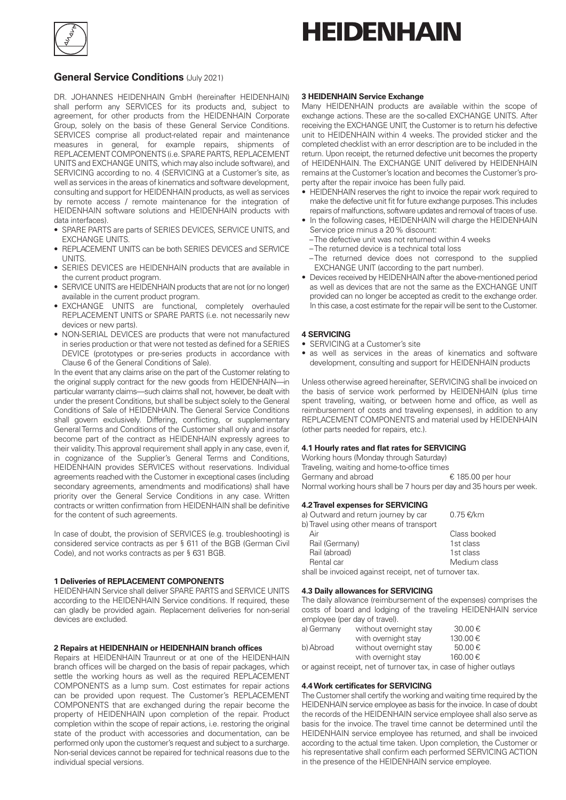

# **HEIDENHAIN**

# **General Service Conditions** (July 2021)

DR. JOHANNES HEIDENHAIN GmbH (hereinafter HEIDENHAIN) shall perform any SERVICES for its products and, subject to agreement, for other products from the HEIDENHAIN Corporate Group, solely on the basis of these General Service Conditions. SERVICES comprise all product-related repair and maintenance measures in general, for example repairs, shipments of REPLACEMENT COMPONENTS (i.e. SPARE PARTS, REPLACEMENT UNITS and EXCHANGE UNITS, which may also include software), and SERVICING according to no. 4 (SERVICING at a Customer's site, as well as services in the areas of kinematics and software development, consulting and support for HEIDENHAIN products, as well as services by remote access / remote maintenance for the integration of HEIDENHAIN software solutions and HEIDENHAIN products with data interfaces).

- SPARE PARTS are parts of SERIES DEVICES, SERVICE UNITS, and EXCHANGE UNITS.
- REPLACEMENT UNITS can be both SERIES DEVICES and SERVICE **UNITS**
- SERIES DEVICES are HEIDENHAIN products that are available in the current product program.
- SERVICE UNITS are HEIDENHAIN products that are not (or no longer) available in the current product program.
- EXCHANGE UNITS are functional, completely overhauled REPLACEMENT UNITS or SPARE PARTS (i.e. not necessarily new devices or new parts).
- NON-SERIAL DEVICES are products that were not manufactured in series production or that were not tested as defined for a SERIES DEVICE (prototypes or pre-series products in accordance with Clause 6 of the General Conditions of Sale).

In the event that any claims arise on the part of the Customer relating to the original supply contract for the new goods from HEIDENHAIN—in particular warranty claims—such claims shall not, however, be dealt with under the present Conditions, but shall be subject solely to the General Conditions of Sale of HEIDENHAIN. The General Service Conditions shall govern exclusively. Differing, conflicting, or supplementary General Terms and Conditions of the Customer shall only and insofar become part of the contract as HEIDENHAIN expressly agrees to their validity. This approval requirement shall apply in any case, even if, in cognizance of the Supplier's General Terms and Conditions, HEIDENHAIN provides SERVICES without reservations. Individual agreements reached with the Customer in exceptional cases (including secondary agreements, amendments and modifications) shall have priority over the General Service Conditions in any case. Written contracts or written confirmation from HEIDENHAIN shall be definitive for the content of such agreements.

In case of doubt, the provision of SERVICES (e.g. troubleshooting) is considered service contracts as per § 611 of the BGB (German Civil Code), and not works contracts as per § 631 BGB.

## **1 Deliveries of REPLACEMENT COMPONENTS**

HEIDENHAIN Service shall deliver SPARE PARTS and SERVICE UNITS according to the HEIDENHAIN Service conditions. If required, these can gladly be provided again. Replacement deliveries for non-serial devices are excluded.

#### **2 Repairs at HEIDENHAIN or HEIDENHAIN branch offices**

Repairs at HEIDENHAIN Traunreut or at one of the HEIDENHAIN branch offices will be charged on the basis of repair packages, which settle the working hours as well as the required REPLACEMENT COMPONENTS as a lump sum. Cost estimates for repair actions can be provided upon request. The Customer's REPLACEMENT COMPONENTS that are exchanged during the repair become the property of HEIDENHAIN upon completion of the repair. Product completion within the scope of repair actions, i.e. restoring the original state of the product with accessories and documentation, can be performed only upon the customer's request and subject to a surcharge. Non-serial devices cannot be repaired for technical reasons due to the individual special versions.

## **3 HEIDENHAIN Service Exchange**

Many HEIDENHAIN products are available within the scope of exchange actions. These are the so-called EXCHANGE UNITS. After receiving the EXCHANGE UNIT, the Customer is to return his defective unit to HEIDENHAIN within 4 weeks. The provided sticker and the completed checklist with an error description are to be included in the return. Upon receipt, the returned defective unit becomes the property of HEIDENHAIN. The EXCHANGE UNIT delivered by HEIDENHAIN remains at the Customer's location and becomes the Customer's property after the repair invoice has been fully paid.

- HEIDENHAIN reserves the right to invoice the repair work required to make the defective unit fit for future exchange purposes. This includes repairs of malfunctions, software updates and removal of traces of use.
- In the following cases, HEIDENHAIN will charge the HEIDENHAIN Service price minus a 20% discount:
	- The defective unit was not returned within 4 weeks
	- The returned device is a technical total loss
- The returned device does not correspond to the supplied EXCHANGE UNIT (according to the part number).
- Devices received by HEIDENHAIN after the above-mentioned period as well as devices that are not the same as the EXCHANGE UNIT provided can no longer be accepted as credit to the exchange order. In this case, a cost estimate for the repair will be sent to the Customer.

#### **4 SERVICING**

- SERVICING at a Customer's site
- as well as services in the areas of kinematics and software development, consulting and support for HEIDENHAIN products

Unless otherwise agreed hereinafter, SERVICING shall be invoiced on the basis of service work performed by HEIDENHAIN (plus time spent traveling, waiting, or between home and office, as well as reimbursement of costs and traveling expenses), in addition to any REPLACEMENT COMPONENTS and material used by HEIDENHAIN (other parts needed for repairs, etc.).

#### **4.1 Hourly rates and flat rates for SERVICING**

Working hours (Monday through Saturday) Traveling, waiting and home-to-office times<br>Germany and abroad  $\epsilon$  185.00 per hour Germany and abroad Normal working hours shall be 7 hours per day and 35 hours per week.

## **4.2Travel expenses for SERVICING**

| a) Outward and return journey by car     | $0.75 \text{ E/km}$ |
|------------------------------------------|---------------------|
| b) Travel using other means of transport |                     |
| Air                                      | Class booked        |
| Rail (Germany)                           | 1st class           |
| Rail (abroad)                            | 1st class           |
| Rental car                               | Medium class        |

shall be invoiced against receipt, net of turnover tax.

#### **4.3 Daily allowances for SERVICING**

The daily allowance (reimbursement of the expenses) comprises the costs of board and lodging of the traveling HEIDENHAIN service employee (per day of travel).

| a) Germany | without overnight stay                                                  | 30.00€  |
|------------|-------------------------------------------------------------------------|---------|
|            | with overnight stay                                                     | 130.00€ |
| b) Abroad  | without overnight stay                                                  | 50.00€  |
|            | with overnight stay                                                     | 160.00€ |
|            | والمحاملوا كما ومموارسا النمه ومريم وسرط كمالاما الموامومة للمساموم وما |         |

or against receipt, net of turnover tax, in case of higher outlays

## **4.4Work certificates for SERVICING**

The Customer shall certify the working and waiting time required by the HEIDENHAIN service employee as basis for the invoice. In case of doubt the records of the HEIDENHAIN service employee shall also serve as basis for the invoice. The travel time cannot be determined until the HEIDENHAIN service employee has returned, and shall be invoiced according to the actual time taken. Upon completion, the Customer or his representative shall confirm each performed SERVICING ACTION in the presence of the HEIDENHAIN service employee.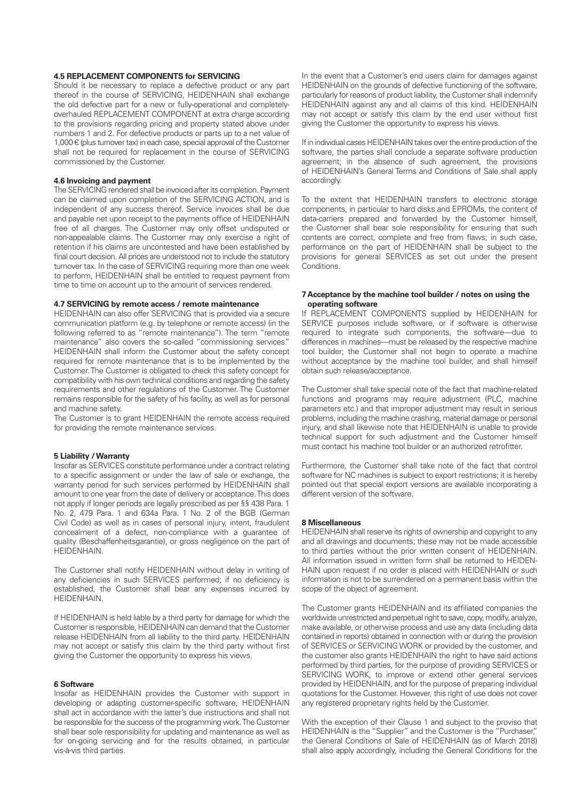#### **4.5 REPLACEMENT COMPONENTS for SERVICING**

Should it be necessary to replace a defective product or any part thereof in the course of SERVICING, HEIDENHAIN shall exchange the old defective part for a new or fully-operational and completelyoverhauled REPLACEMENT COMPONENT at extra charge according to the provisions regarding pricing and property stated above under numbers 1 and 2. For defective products or parts up to a net value of  $1,000 \in$  (plus turnover tax) in each case, special approval of the Customer shall not be required for replacement in the course of SERVICING commissioned by the Customer.

#### **4.6 Invoicing and payment**

The SERVICING rendered shall be invoiced after its completion. Payment can be claimed upon completion of the SERVICING ACTION, and is independent of any success thereof. Service invoices shall be due and payable net upon receipt to the payments office of HEIDENHAIN free of all charges. The Customer may only offset undisputed or non-appealable claims. The Customer may only exercise a right of retention if his claims are uncontested and have been established by final court decision. All prices are understood not to include the statutory turnover tax. In the case of SERVICING requiring more than one week to perform, HEIDENHAIN shall be entitled to request payment from time to time on account up to the amount of services rendered.

#### **4.7 SERVICING by remote access / remote maintenance**

HEIDENHAIN can also offer SERVICING that is provided via a secure communication platform (e.g. by telephone or remote access) (in the following referred to as "remote maintenance"). The term "remote maintenance" also covers the so-called "commissioning services." HEIDENHAIN shall inform the Customer about the safety concept required for remote maintenance that is to be implemented by the Customer. The Customer is obligated to check this safety concept for compatibility with his own technical conditions and regarding the safety requirements and other regulations of the Customer. The Customer remains responsible for the safety of his facility, as well as for personal and machine safety.

The Customer is to grant HEIDENHAIN the remote access required for providing the remote maintenance services.

## **5 Liability / Warranty**

Insofar as SERVICES constitute performance under a contract relating to a specific assignment or under the law of sale or exchange, the warranty period for such services performed by HEIDENHAIN shall amount to one year from the date of delivery or acceptance. This does not apply if longer periods are legally prescribed as per §§ 438 Para. 1 No. 2, 479 Para. 1 and 634a Para. 1 No. 2 of the BGB (German Civil Code) as well as in cases of personal injury, intent, fraudulent concealment of a defect, non-compliance with a guarantee of quality (Beschaffenheitsgarantie), or gross negligence on the part of HEIDENHAIN.

The Customer shall notify HEIDENHAIN without delay in writing of any deficiencies in such SERVICES performed; if no deficiency is established, the Customer shall bear any expenses incurred by **HEIDENHAIN** 

If HEIDENHAIN is held liable by a third party for damage for which the Customer is responsible, HEIDENHAIN can demand that the Customer release HEIDENHAIN from all liability to the third party. HEIDENHAIN may not accept or satisfy this claim by the third party without first giving the Customer the opportunity to express his views.

#### **6 Software**

Insofar as HEIDENHAIN provides the Customer with support in developing or adapting customer-specific software, HEIDENHAIN shall act in accordance with the latter's due instructions and shall not be responsible for the success of the programming work. The Customer shall bear sole responsibility for updating and maintenance as well as for on-going servicing and for the results obtained, in particular vis-à-vis third parties.

In the event that a Customer's end users claim for damages against HEIDENHAIN on the grounds of defective functioning of the software, particularly for reasons of product liability, the Customer shall indemnify HEIDENHAIN against any and all claims of this kind. HEIDENHAIN may not accept or satisfy this claim by the end user without first giving the Customer the opportunity to express his views.

If in individual cases HEIDENHAIN takes over the entire production of the software, the parties shall conclude a separate software production agreement; in the absence of such agreement, the provisions of HEIDENHAIN's General Terms and Conditions of Sale shall apply accordingly.

To the extent that HEIDENHAIN transfers to electronic storage components, in particular to hard disks and EPROMs, the content of data-carriers prepared and forwarded by the Customer himself, the Customer shall bear sole responsibility for ensuring that such contents are correct, complete and free from flaws; in such case, performance on the part of HEIDENHAIN shall be subject to the provisions for general SERVICES as set out under the present **Conditions** 

#### **7 Acceptance by the machine tool builder / notes on using the operating software**

If REPLACEMENT COMPONENTS supplied by HEIDENHAIN for SERVICE purposes include software, or if software is otherwise required to integrate such components, the software—due to differences in machines—must be released by the respective machine tool builder; the Customer shall not begin to operate a machine without acceptance by the machine tool builder, and shall himself obtain such release/acceptance.

The Customer shall take special note of the fact that machine-related functions and programs may require adjustment (PLC, machine parameters etc.) and that improper adjustment may result in serious problems, including the machine crashing, material damage or personal injury, and shall likewise note that HEIDENHAIN is unable to provide technical support for such adjustment and the Customer himself must contact his machine tool builder or an authorized retrofitter.

Furthermore, the Customer shall take note of the fact that control software for NC machines is subject to export restrictions; it is hereby pointed out that special export versions are available incorporating a different version of the software.

#### **8 Miscellaneous**

HEIDENHAIN shall reserve its rights of ownership and copyright to any and all drawings and documents; these may not be made accessible to third parties without the prior written consent of HEIDENHAIN. All information issued in written form shall be returned to HEIDEN-HAIN upon request if no order is placed with HEIDENHAIN or such information is not to be surrendered on a permanent basis within the scope of the object of agreement.

The Customer grants HEIDENHAIN and its affiliated companies the worldwide unrestricted and perpetual right to save, copy, modify, analyze, make available, or otherwise process and use any data (including data contained in reports) obtained in connection with or during the provision of SERVICES or SERVICING WORK or provided by the customer, and the customer also grants HEIDENHAIN the right to have said actions performed by third parties, for the purpose of providing SERVICES or SERVICING WORK, to improve or extend other general services provided by HEIDENHAIN, and for the purpose of preparing individual quotations for the Customer. However, this right of use does not cover any registered proprietary rights held by the Customer.

With the exception of their Clause 1 and subject to the proviso that HEIDENHAIN is the "Supplier" and the Customer is the "Purchaser," the General Conditions of Sale of HEIDENHAIN (as of March 2018) shall also apply accordingly, including the General Conditions for the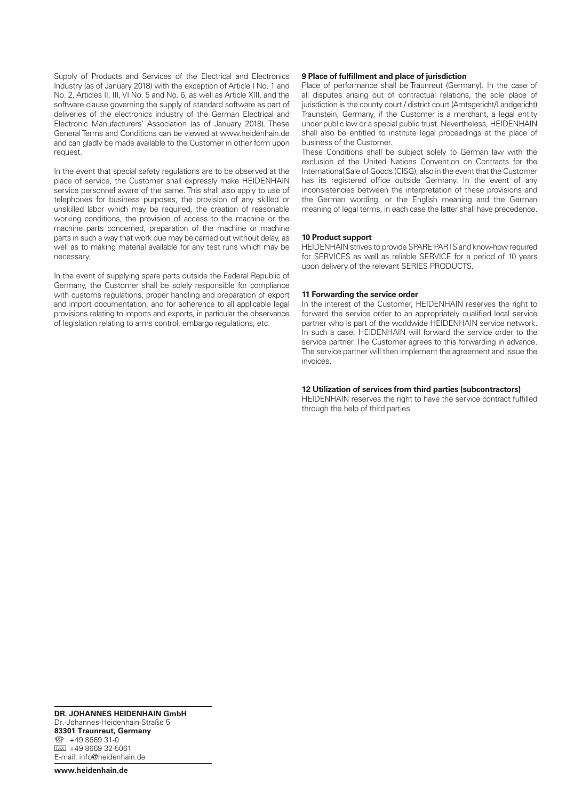Supply of Products and Services of the Electrical and Electronics Industry (as of January 2018) with the exception of Article I No. 1 and No. 2, Articles II, III, VI No. 5 and No. 6, as well as Article XIII, and the software clause governing the supply of standard software as part of deliveries of the electronics industry of the German Electrical and Electronic Manufacturers' Association (as of January 2018). These General Terms and Conditions can be viewed at www.heidenhain.de and can gladly be made available to the Customer in other form upon request.

In the event that special safety regulations are to be observed at the place of service, the Customer shall expressly make HEIDENHAIN service personnel aware of the same. This shall also apply to use of telephones for business purposes, the provision of any skilled or unskilled labor which may be required, the creation of reasonable working conditions, the provision of access to the machine or the machine parts concerned, preparation of the machine or machine parts in such a way that work due may be carried out without delay, as well as to making material available for any test runs which may be necessary.

In the event of supplying spare parts outside the Federal Republic of Germany, the Customer shall be solely responsible for compliance with customs regulations, proper handling and preparation of export and import documentation, and for adherence to all applicable legal provisions relating to imports and exports, in particular the observance of legislation relating to arms control, embargo regulations, etc.

#### **9 Place of fulfillment and place of jurisdiction**

Place of performance shall be Traunreut (Germany). In the case of all disputes arising out of contractual relations, the sole place of jurisdiction is the county court / district court (Amtsgericht/Landgericht) Traunstein, Germany, if the Customer is a merchant, a legal entity under public law or a special public trust. Nevertheless, HEIDENHAIN shall also be entitled to institute legal proceedings at the place of business of the Customer.

These Conditions shall be subject solely to German law with the exclusion of the United Nations Convention on Contracts for the International Sale of Goods (CISG), also in the event that the Customer has its registered office outside Germany. In the event of any inconsistencies between the interpretation of these provisions and the German wording, or the English meaning and the German meaning of legal terms, in each case the latter shall have precedence.

#### **10 Product support**

HEIDENHAIN strives to provide SPARE PARTS and know-how required for SERVICES as well as reliable SERVICE for a period of 10 years upon delivery of the relevant SERIES PRODUCTS.

#### **11 Forwarding the service order**

In the interest of the Customer, HEIDENHAIN reserves the right to forward the service order to an appropriately qualified local service partner who is part of the worldwide HEIDENHAIN service network. In such a case, HEIDENHAIN will forward the service order to the service partner. The Customer agrees to this forwarding in advance. The service partner will then implement the agreement and issue the invoices.

#### **12 Utilization of services from third parties (subcontractors)**

HEIDENHAIN reserves the right to have the service contract fulfilled through the help of third parties.

**DR. JOHANNES HEIDENHAIN GmbH** Dr.-Johannes-Heidenhain-Straße 5 83301 Traunreut, Germany <sup>2</sup> +49 8669 31-0  $Ex1 + 49866932 - 5061$ E-mail: info@heidenhain.de

www.heidenhain.de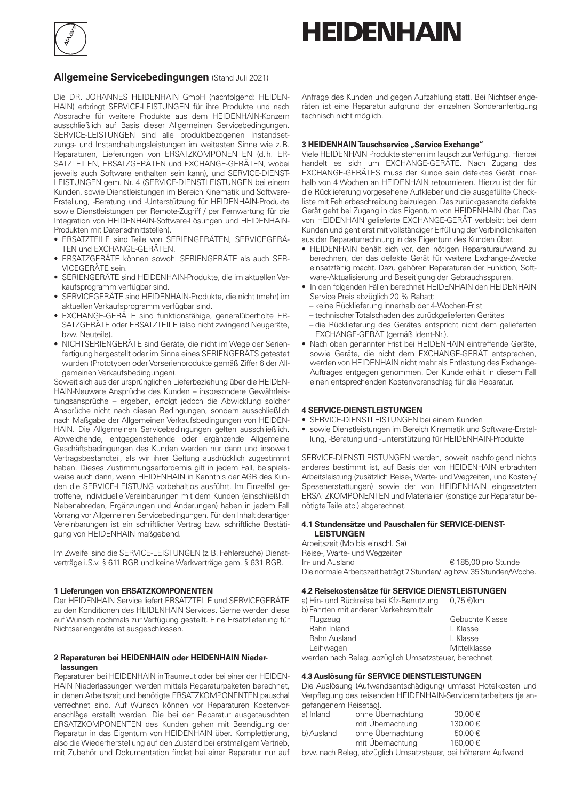

# **HEIDENHAIN**

# **Allgemeine Servicebedingungen** (Stand Juli 2021)

Die DR. JOHANNES HEIDENHAIN GmbH (nachfolgend: HEIDEN-HAIN) erbringt SERVICE-LEISTUNGEN für ihre Produkte und nach Absprache für weitere Produkte aus dem HEIDENHAIN-Konzern ausschließlich auf Basis dieser Allgemeinen Servicebedingungen. SERVICE-LEISTUNGEN sind alle produktbezogenen Instandsetzungs- und Instandhaltungsleistungen im weitesten Sinne wie z.B. Reparaturen, Lieferungen von ERSATZKOMPONENTEN (d.h. ER-SATZTEILEN, ERSATZGERÄTEN und EXCHANGE-GERÄTEN, wobei jeweils auch Software enthalten sein kann), und SERVICE-DIENST-LEISTUNGEN gem. Nr. 4 (SERVICE-DIENSTLEISTUNGEN bei einem Kunden, sowie Dienstleistungen im Bereich Kinematik und Software-Erstellung, -Beratung und -Unterstützung für HEIDENHAIN-Produkte sowie Dienstleistungen per Remote-Zugriff / per Fernwartung für die Integration von HEIDENHAIN-Software-Lösungen und HEIDENHAIN-Produkten mit Datenschnittstellen).

- ERSATZTEILE sind Teile von SERIENGERÄTEN, SERVICEGERÄ-TEN und EXCHANGE-GERÄTEN.
- ERSATZGERÄTE können sowohl SERIENGERÄTE als auch SER-VICEGERÄTE sein.
- SERIENGERÄTE sind HEIDENHAIN-Produkte, die im aktuellen Verkaufsprogramm verfügbar sind.
- SERVICEGERÄTE sind HEIDENHAIN-Produkte, die nicht (mehr) im aktuellen Verkaufsprogramm verfügbar sind.
- EXCHANGE-GERÄTE sind funktionsfähige, generalüberholte ER-SATZGERÄTE oder ERSATZTEILE (also nicht zwingend Neugeräte, bzw. Neuteile).
- NICHTSERIENGERÄTE sind Geräte, die nicht im Wege der Serienfertigung hergestellt oder im Sinne eines SERIENGERÄTS getestet wurden (Prototypen oder Vorserienprodukte gemäß Ziffer 6 der Allgemeinen Verkaufsbedingungen).

Soweit sich aus der ursprünglichen Lieferbeziehung über die HEIDEN-HAIN-Neuware Ansprüche des Kunden – insbesondere Gewährleistungsansprüche – ergeben, erfolgt jedoch die Abwicklung solcher Ansprüche nicht nach diesen Bedingungen, sondern ausschließlich nach Maßgabe der Allgemeinen Verkaufsbedingungen von HEIDEN-HAIN. Die Allgemeinen Servicebedingungen gelten ausschließlich. Abweichende, entgegenstehende oder ergänzende Allgemeine Geschäftsbedingungen des Kunden werden nur dann und insoweit Vertragsbestandteil, als wir ihrer Geltung ausdrücklich zugestimmt haben. Dieses Zustimmungserfordernis gilt in jedem Fall, beispielsweise auch dann, wenn HEIDENHAIN in Kenntnis der AGB des Kunden die SERVICE-LEISTUNG vorbehaltlos ausführt. Im Einzelfall getroffene, individuelle Vereinbarungen mit dem Kunden (einschließlich Nebenabreden, Ergänzungen und Änderungen) haben in jedem Fall Vorrang vor Allgemeinen Servicebedingungen. Für den Inhalt derartiger Vereinbarungen ist ein schriftlicher Vertrag bzw. schriftliche Bestätigung von HEIDENHAIN maßgebend.

Im Zweifel sind die SERVICE-LEISTUNGEN (z.B. Fehlersuche) Dienstverträge i.S.v. § 611 BGB und keine Werkverträge gem. § 631 BGB.

## **1 Lieferungen von ERSATZKOMPONENTEN**

Der HEIDENHAIN Service liefert ERSATZTEILE und SERVICEGERÄTE zu den Konditionen des HEIDENHAIN Services. Gerne werden diese auf Wunsch nochmals zur Verfügung gestellt. Eine Ersatzlieferung für Nichtseriengeräte ist ausgeschlossen.

## **2 Reparaturen bei HEIDENHAIN oder HEIDENHAIN Niederlassungen**

Reparaturen bei HEIDENHAIN in Traunreut oder bei einer der HEIDEN-HAIN Niederlassungen werden mittels Reparaturpaketen berechnet, in denen Arbeitszeit und benötigte ERSATZKOMPONENTEN pauschal verrechnet sind. Auf Wunsch können vor Reparaturen Kostenvoranschläge erstellt werden. Die bei der Reparatur ausgetauschten ERSATZKOMPONENTEN des Kunden gehen mit Beendigung der Reparatur in das Eigentum von HEIDENHAIN über. Komplettierung, also die Wiederherstellung auf den Zustand bei erstmaligem Vertrieb, mit Zubehör und Dokumentation findet bei einer Reparatur nur auf Anfrage des Kunden und gegen Aufzahlung statt. Bei Nichtseriengeräten ist eine Reparatur aufgrund der einzelnen Sonderanfertigung technisch nicht möglich.

## **3 HEIDENHAIN Tauschservice "Service Exchange"**

Viele HEIDENHAIN Produkte stehen im Tausch zur Verfügung. Hierbei handelt es sich um EXCHANGE-GERÄTE. Nach Zugang des EXCHANGE-GERÄTES muss der Kunde sein defektes Gerät innerhalb von 4 Wochen an HEIDENHAIN retournieren. Hierzu ist der für die Rücklieferung vorgesehene Aufkleber und die ausgefüllte Checkliste mit Fehlerbeschreibung beizulegen. Das zurückgesandte defekte Gerät geht bei Zugang in das Eigentum von HEIDENHAIN über. Das von HEIDENHAIN gelieferte EXCHANGE-GERÄT verbleibt bei dem Kunden und geht erst mit vollständiger Erfüllung der Verbindlichkeiten aus der Reparaturrechnung in das Eigentum des Kunden über.

- HEIDENHAIN behält sich vor, den nötigen Reparaturaufwand zu berechnen, der das defekte Gerät für weitere Exchange-Zwecke einsatzfähig macht. Dazu gehören Reparaturen der Funktion, Software-Aktualisierung und Beseitigung der Gebrauchsspuren.
- In den folgenden Fällen berechnet HEIDENHAIN den HEIDENHAIN Service Preis abzüglich 20 % Rabatt:
	- keine Rücklieferung innerhalb der 4-Wochen-Frist
	- technischer Totalschaden des zurückgelieferten Gerätes
	- die Rücklieferung des Gerätes entspricht nicht dem gelieferten EXCHANGE-GERÄT (gemäß Ident-Nr.).
- Nach oben genannter Frist bei HEIDENHAIN eintreffende Geräte, sowie Geräte, die nicht dem EXCHANGE-GERÄT entsprechen, werden von HEIDENHAIN nicht mehr als Entlastung des Exchange-Auftrages entgegen genommen. Der Kunde erhält in diesem Fall einen entsprechenden Kostenvoranschlag für die Reparatur.

#### **4 SERVICE-DIENSTLEISTUNGEN**

- SERVICE-DIENSTLEISTUNGEN bei einem Kunden
- sowie Dienstleistungen im Bereich Kinematik und Software-Erstellung, -Beratung und -Unterstützung für HEIDENHAIN-Produkte

SERVICE-DIENSTLEISTUNGEN werden, soweit nachfolgend nichts anderes bestimmt ist, auf Basis der von HEIDENHAIN erbrachten Arbeitsleistung (zusätzlich Reise-, Warte- und Wegzeiten, und Kosten-/ Spesenerstattungen) sowie der von HEIDENHAIN eingesetzten ERSATZKOMPONENTEN und Materialien (sonstige zur Reparatur benötigte Teile etc.) abgerechnet.

#### **4.1 Stundensätze und Pauschalen für SERVICE-DIENST-LEISTUNGEN**

Arbeitszeit (Mo bis einschl. Sa) Reise-, Warte- und Wegzeiten In- und Ausland 185,00 pro Stunde Die normale Arbeitszeit beträgt 7 Stunden/Tag bzw. 35 Stunden/Woche.

#### **4.2 Reisekostensätze für SERVICE DIENSTLEISTUNGEN**

a) Hin- und Rückreise bei Kfz-Benutzung  $0.75 \in \mathbb{K}$ m b) Fal

Bahn Inland Bahn Ausland Leihwagen

| Fahrten mit anderen verkehrsmitteln |   |
|-------------------------------------|---|
| Flugzeug                            | G |

| Gebuchte Klasse |
|-----------------|
| I. Klasse       |
| I. Klasse       |
| Mittelklasse    |

werden nach Beleg, abzüglich Umsatzsteuer, berechnet.

#### **4.3 Auslösung für SERVICE DIENSTLEISTUNGEN**

Die Auslösung (Aufwandsentschädigung) umfasst Hotelkosten und Verpflegung des reisenden HEIDENHAIN-Servicemitarbeiters (je angefangenem Reisetag).

| 90161190110111101001091 |                                                                                                         |         |  |
|-------------------------|---------------------------------------------------------------------------------------------------------|---------|--|
| a) Inland               | ohne Ubernachtung                                                                                       | 30,00 € |  |
|                         | mit Ubernachtung                                                                                        | 130,00€ |  |
| b) Ausland              | ohne Ubernachtung                                                                                       | 50.00€  |  |
|                         | mit Ubernachtung                                                                                        | 160.00€ |  |
|                         | to may be a star Franklin and a bandwide the construction of the star and the star of Alleford Alleford |         |  |

bzw. nach Beleg, abzüglich Umsatzsteuer, bei höherem Aufwand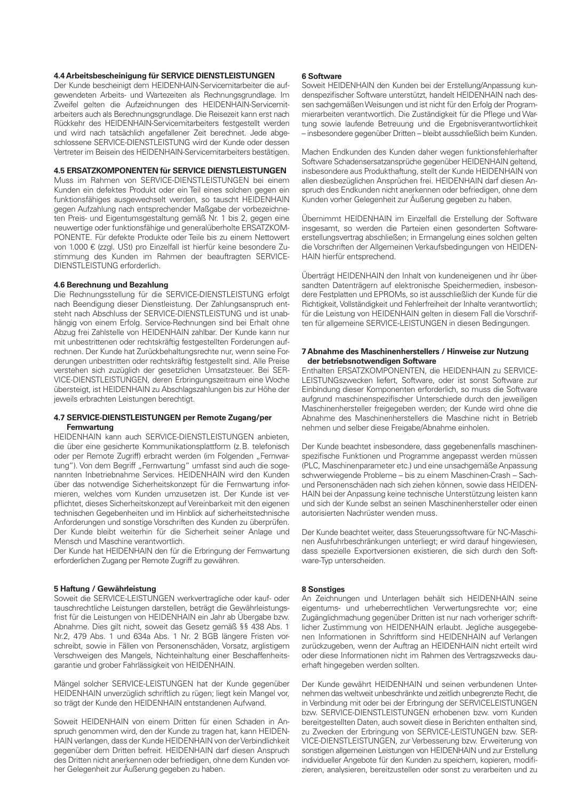# **4.4 Arbeitsbescheinigung für SERVICE DIENSTLEISTUNGEN**

Der Kunde bescheinigt dem HEIDENHAIN-Servicemitarbeiter die aufgewendeten Arbeits- und Wartezeiten als Rechnungsgrundlage. Im Zweifel gelten die Aufzeichnungen des HEIDENHAIN-Servicemitarbeiters auch als Berechnungsgrundlage. Die Reisezeit kann erst nach Rückkehr des HEIDENHAIN-Servicemitarbeiters festgestellt werden und wird nach tatsächlich angefallener Zeit berechnet. Jede abgeschlossene SERVICE-DIENSTLEISTUNG wird der Kunde oder dessen Vertreter im Beisein des HEIDENHAIN-Servicemitarbeiters bestätigen.

## **4.5 ERSATZKOMPONENTEN für SERVICE DIENSTLEISTUNGEN**

Muss im Rahmen von SERVICE-DIENSTLEISTUNGEN bei einem Kunden ein defektes Produkt oder ein Teil eines solchen gegen ein funktionsfähiges ausgewechselt werden, so tauscht HEIDENHAIN gegen Aufzahlung nach entsprechender Maßgabe der vorbezeichneten Preis- und Eigentumsgestaltung gemäß Nr. 1 bis 2, gegen eine neuwertige oder funktionsfähige und generalüberholte ERSATZKOM-PONENTE. Für defekte Produkte oder Teile bis zu einem Nettowert von 1.000 € (zzgl. USt) pro Einzelfall ist hierfür keine besondere Zustimmung des Kunden im Rahmen der beauftragten SERVICE-DIENSTLEISTUNG erforderlich.

#### **4.6 Berechnung und Bezahlung**

Die Rechnungsstellung für die SERVICE-DIENSTLEISTUNG erfolgt nach Beendigung dieser Dienstleistung. Der Zahlungsanspruch entsteht nach Abschluss der SERVICE-DIENSTLEISTUNG und ist unabhängig von einem Erfolg. Service-Rechnungen sind bei Erhalt ohne Abzug frei Zahlstelle von HEIDENHAIN zahlbar. Der Kunde kann nur mit unbestrittenen oder rechtskräftig festgestellten Forderungen aufrechnen. Der Kunde hat Zurückbehaltungsrechte nur, wenn seine Forderungen unbestritten oder rechtskräftig festgestellt sind. Alle Preise verstehen sich zuzüglich der gesetzlichen Umsatzsteuer. Bei SER-VICE-DIENSTLEISTUNGEN, deren Erbringungszeitraum eine Woche übersteigt, ist HEIDENHAIN zu Abschlagszahlungen bis zur Höhe der jeweils erbrachten Leistungen berechtigt.

#### **4.7 SERVICE-DIENSTLEISTUNGEN per Remote Zugang/per Fernwartung**

HEIDENHAIN kann auch SERVICE-DIENSTLEISTUNGEN anbieten, die über eine gesicherte Kommunikationsplattform (z.B. telefonisch oder per Remote Zugriff) erbracht werden (im Folgenden "Fernwartung"). Von dem Begriff "Fernwartung" umfasst sind auch die sogenannten Inbetriebnahme Services. HEIDENHAIN wird den Kunden über das notwendige Sicherheitskonzept für die Fernwartung informieren, welches vom Kunden umzusetzen ist. Der Kunde ist verpflichtet, dieses Sicherheitskonzept auf Vereinbarkeit mit den eigenen technischen Gegebenheiten und im Hinblick auf sicherheitstechnische Anforderungen und sonstige Vorschriften des Kunden zu überprüfen. Der Kunde bleibt weiterhin für die Sicherheit seiner Anlage und Mensch und Maschine verantwortlich.

Der Kunde hat HEIDENHAIN den für die Erbringung der Fernwartung erforderlichen Zugang per Remote Zugriff zu gewähren.

## **5 Haftung / Gewährleistung**

Soweit die SERVICE-LEISTUNGEN werkvertragliche oder kauf- oder tauschrechtliche Leistungen darstellen, beträgt die Gewährleistungsfrist für die Leistungen von HEIDENHAIN ein Jahr ab Übergabe bzw. Abnahme. Dies gilt nicht, soweit das Gesetz gemäß §§ 438 Abs. 1 Nr.2, 479 Abs. 1 und 634a Abs. 1 Nr. 2 BGB längere Fristen vorschreibt, sowie in Fällen von Personenschäden, Vorsatz, arglistigem Verschweigen des Mangels, Nichteinhaltung einer Beschaffenheitsgarantie und grober Fahrlässigkeit von HEIDENHAIN.

Mängel solcher SERVICE-LEISTUNGEN hat der Kunde gegenüber HEIDENHAIN unverzüglich schriftlich zu rügen; liegt kein Mangel vor, so trägt der Kunde den HEIDENHAIN entstandenen Aufwand.

Soweit HEIDENHAIN von einem Dritten für einen Schaden in Anspruch genommen wird, den der Kunde zu tragen hat, kann HEIDEN-HAIN verlangen, dass der Kunde HEIDENHAIN von der Verbindlichkeit gegenüber dem Dritten befreit. HEIDENHAIN darf diesen Anspruch des Dritten nicht anerkennen oder befriedigen, ohne dem Kunden vorher Gelegenheit zur Äußerung gegeben zu haben.

#### **6 Software**

Soweit HEIDENHAIN den Kunden bei der Erstellung/Anpassung kundenspezifischer Software unterstützt, handelt HEIDENHAIN nach dessen sachgemäßen Weisungen und ist nicht für den Erfolg der Programmierarbeiten verantwortlich. Die Zuständigkeit für die Pflege und Wartung sowie laufende Betreuung und die Ergebnisverantwortlichkeit – insbesondere gegenüber Dritten – bleibt ausschließlich beim Kunden.

Machen Endkunden des Kunden daher wegen funktionsfehlerhafter Software Schadensersatzansprüche gegenüber HEIDENHAIN geltend, insbesondere aus Produkthaftung, stellt der Kunde HEIDENHAIN von allen diesbezüglichen Ansprüchen frei. HEIDENHAIN darf diesen Anspruch des Endkunden nicht anerkennen oder befriedigen, ohne dem Kunden vorher Gelegenheit zur Äußerung gegeben zu haben.

Übernimmt HEIDENHAIN im Einzelfall die Erstellung der Software insgesamt, so werden die Parteien einen gesonderten Softwareerstellungsvertrag abschließen; in Ermangelung eines solchen gelten die Vorschriften der Allgemeinen Verkaufsbedingungen von HEIDEN-HAIN hierfür entsprechend.

Überträgt HEIDENHAIN den Inhalt von kundeneigenen und ihr übersandten Datenträgern auf elektronische Speichermedien, insbesondere Festplatten und EPROMs, so ist ausschließlich der Kunde für die Richtigkeit, Vollständigkeit und Fehlerfreiheit der Inhalte verantwortlich; für die Leistung von HEIDENHAIN gelten in diesem Fall die Vorschriften für allgemeine SERVICE-LEISTUNGEN in diesen Bedingungen.

#### **7 Abnahme des Maschinenherstellers / Hinweise zur Nutzung der betriebsnotwendigen Software**

Enthalten ERSATZKOMPONENTEN, die HEIDENHAIN zu SERVICE-LEISTUNGszwecken liefert, Software, oder ist sonst Software zur Einbindung dieser Komponenten erforderlich, so muss die Software aufgrund maschinenspezifischer Unterschiede durch den jeweiligen Maschinenhersteller freigegeben werden; der Kunde wird ohne die Abnahme des Maschinenherstellers die Maschine nicht in Betrieb nehmen und selber diese Freigabe/Abnahme einholen.

Der Kunde beachtet insbesondere, dass gegebenenfalls maschinenspezifische Funktionen und Programme angepasst werden müssen (PLC, Maschinenparameter etc.) und eine unsachgemäße Anpassung schwerwiegende Probleme – bis zu einem Maschinen-Crash – Sachund Personenschäden nach sich ziehen können, sowie dass HEIDEN-HAIN bei der Anpassung keine technische Unterstützung leisten kann und sich der Kunde selbst an seinen Maschinenhersteller oder einen autorisierten Nachrüster wenden muss.

Der Kunde beachtet weiter, dass Steuerungssoftware für NC-Maschinen Ausfuhrbeschränkungen unterliegt; er wird darauf hingewiesen, dass spezielle Exportversionen existieren, die sich durch den Software-Typ unterscheiden.

## **8 Sonstiges**

An Zeichnungen und Unterlagen behält sich HEIDENHAIN seine eigentums- und urheberrechtlichen Verwertungsrechte vor; eine Zugänglichmachung gegenüber Dritten ist nur nach vorheriger schriftlicher Zustimmung von HEIDENHAIN erlaubt. Jegliche ausgegebenen Informationen in Schriftform sind HEIDENHAIN auf Verlangen zurückzugeben, wenn der Auftrag an HEIDENHAIN nicht erteilt wird oder diese Informationen nicht im Rahmen des Vertragszwecks dauerhaft hingegeben werden sollten.

Der Kunde gewährt HEIDENHAIN und seinen verbundenen Unternehmen das weltweit unbeschränkte und zeitlich unbegrenzte Recht, die in Verbindung mit oder bei der Erbringung der SERVICELEISTUNGEN bzw. SERVICE-DIENSTLEISTUNGEN erhobenen bzw. vom Kunden bereitgestellten Daten, auch soweit diese in Berichten enthalten sind, zu Zwecken der Erbringung von SERVICE-LEISTUNGEN bzw. SER-VICE-DIENSTLEISTUNGEN, zur Verbesserung bzw. Erweiterung von sonstigen allgemeinen Leistungen von HEIDENHAIN und zur Erstellung individueller Angebote für den Kunden zu speichern, kopieren, modifizieren, analysieren, bereitzustellen oder sonst zu verarbeiten und zu